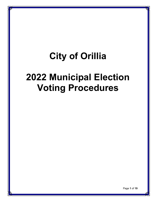# **City of Orillia**

## **2022 Municipal Election Voting Procedures**

Page **1** of **19**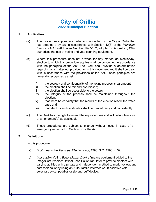### **City of Orillia 2022 Municipal Election**

#### **1. Application**

- (a) This procedure applies to an election conducted by the City of Orillia that has adopted a by-law in accordance with Section 42(3) of the *Municipal Elections Act*, 1996. By-law Number 1997-102, adopted on August 25, 1997 authorizes the use of voting and vote counting equipment.
- (b) Where this procedure does not provide for any matter, an election/byelection to which this procedure applies shall be conducted in accordance with the principles of the Act. The Clerk shall provide a determination regarding any matter not provided for in this document and it shall be dealt with in accordance with the provisions of the Act. These principles are generally recognized as being:
	- i) the secrecy and confidentiality of the voting process is paramount;
	- ii) the election shall be fair and non-biased;
	- iii) the election shall be accessible to the voters;
	- iv) the integrity of the process shall be maintained throughout the election;
	- v) that there be certainty that the results of the election reflect the votes cast; and
	- vi) that electors and candidates shall be treated fairly and consistently.
- (c) The Clerk has the right to amend these procedures and will distribute notice of amendment(s) as applicable.
- (d) These procedures are subject to change without notice in case of an emergency as set out in Section 53 of the Act.

#### **2. Definitions**

In this procedure:

- (a) *"Act"* means the *Municipal Elections Act,* 1996, S.O. 1996, c. 32*, .*
- (b) *"Accessible* Voting *Ballot Marker Device"* means equipment added to the ImageCast Precinct Optical Scan Ballot Tabulator to provide electors with varying abilities with a private and independent method to mark, review, and cast their ballot by using an Auto Tactile Interface (ATI) assistive vote selector device, paddles or sip-and-puff device.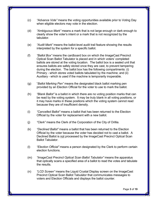- (c) *"Advance Vote"* means the voting opportunities available prior to Voting Day when eligible electors may vote in the election.
- (d) *"Ambiguous Mark"* means a mark that is not large enough or dark enough to clearly show the voter's intent or a mark that is not recognized by the tabulator.
- (e) *"Audit Mark"* means the ballot-level audit trail feature showing the results interpreted by the system for a specific ballot.
- (f) *"Ballot Box"* means the cardboard box on which the ImageCast Precinct Optical Scan Ballot Tabulator is placed and in which voters' completed ballots are stored at the voting location. The ballot box is a sealed unit that ensures ballots are safely stored once they are cast, to prevent tampering during the election. The ballot box has the following compartments: (i) Primary - which stores voted ballots tabulated by the machine; and (ii) Auxiliary - which is used if the machine is temporarily inoperable.
- (g) "*Ballot Marking Pen"* means the designated black ballot marking pen provided by an Election Official for the voter to use to mark the ballot.
- (h) *"Blank Ballot"* is a ballot in which there are no voting position marks that can be read by the voting system. It may be truly blank in all voting positions, or it may have marks in these positions which the voting system cannot read because they are of insufficient density.
- (i) *"Cancelled Ballot"* means a ballot that has been returned to the Election Official by the voter for replacement with a new ballot.
- (j) *"Clerk"* means the Clerk of the Corporation of the City of Orillia.
- (k) *"Declined Ballot"* means a ballot that has been returned to the Election Official by the voter because the voter has decided not to cast a ballot. A Declined Ballot is not processed by the ImageCast Precinct Optical Scan Ballot Tabulator.
- (l) *"Election Official"* means a person designated by the Clerk to perform certain election functions.
- (m) *"ImageCast Precinct Optical Scan Ballot Tabulator"* means the apparatus that optically scans a specified area of a ballot to read the votes and tabulate the results.
- (n) *"LCD Screen"* means the Liquid Crystal Display screen on the ImageCast Precinct Optical Scan Ballot Tabulator that communicates messages to voters and Election Officials and displays the ballot counter.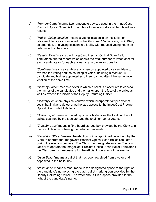- (o) *"Memory Cards"* means two removable devices used in the ImageCast Precinct Optical Scan Ballot Tabulator to securely store all tabulated vote results.
- (p) *"Mobile Voting Location"* means a voting location in an institution or retirement facility as prescribed by the *Municipal Elections Act*, S.O. 1996, as amended, or a voting location in a facility with reduced voting hours as determined by the Clerk.
- (q) *"Results Tape"* means the ImageCast Precinct Optical Scan Ballot Tabulator's printed report which shows the total number of votes cast for each candidate or for each answer to any by-law or question.
- (r) *"Scrutineer"* means a candidate or a person appointed by a candidate to oversee the voting and the counting of votes, including a recount. A candidate and his/her appointed scrutineer cannot attend the same voting location at the same time.
- (s) *"Secrecy Folder"* means a cover in which a ballot is placed into to conceal the names of the candidates and the marks upon the face of the ballot as well as expose the initials of the Deputy Returning Officer.
- (t) *"Security Seals"* are physical controls which incorporate tamper evident seals that limit and detect unauthorized access to the ImageCast Precinct Optical Scan Ballot Tabulator.
- (u) *"Status Tape"* means a printed report which identifies the total number of ballots scanned by the tabulator and the total number of voters.
- (v) *"Transfer Case"* means a fibre board storage box provided by the Clerk to all Election Officials containing their election materials.
- (w) *"Tabulator Officer"* means the election official appointed, in writing, by the Clerk to operate the ImageCast Precinct Optical Scan Ballot Tabulator during the election process. The Clerk may designate another Election Official to operate the ImageCast Precinct Optical Scan Ballot Tabulator if the Clerk deems it necessary for the efficient operation of the election.
- (x) *"Used Ballot"* means a ballot that has been received from a voter and deposited in the ballot box.
- (y) *"Valid Mark"* means a mark made in the designated space to the right of the candidate's name using the black ballot marking pen provided by the Deputy Returning Officer. The voter shall fill in a space provided to the right of the candidate's name.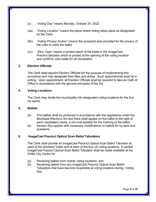- (z) *"Voting Day"* means Monday, October 24, 2022.
- (aa) *"Voting Location"* means the place where voting takes place as designated by the Clerk.
- (bb) *"Voting Privacy Screen"* means the screened area provided for the privacy of the voter to mark the ballot.
- (cc) *"Zero Tape"* means a printed report of the totals in the ImageCast Precinct tabulator which is printed at the opening of the voting location and confirms zero totals for all candidates.

#### **3. Election Officials**

The Clerk shall appoint Election Officials for the purpose of implementing this procedure and may designate their titles and duties. Such appointments shall be in writing. Upon appointment, all Election Officials shall be required to take an Oath of Office in accordance with the general principles of the Act.

#### **4. Voting Locations**

The Clerk may divide the municipality into designated voting locations for the four (4) wards.

#### **5. Ballots**

- (a) The ballots shall be produced in accordance with the regulations under the *Municipal Elections Act* and there shall appear on the ballot to the right of each candidate's name, a red oval suitable for the marking of the ballot.
- (b) Section 5(a) applies with necessary modifications to ballots for by-laws and questions.

#### **6. ImageCast Precinct Optical Scan Ballot Tabulators**

The Clerk shall provide an ImageCast Precinct Optical Scan Ballot Tabulator at each of the Advance Votes and at each of the four (4) voting locations. A central ImageCast Precinct Optical Scan Ballot Tabulator shall be made available at the Orillia City Centre for:

- (a) Receiving ballots from mobile voting locations; and
- (b) Receiving ballots from any ImageCast Precinct Optical Scan Ballot Tabulators that have become inoperable at voting locations during Voting Day.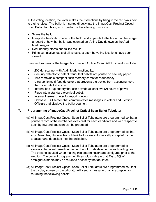At the voting location, the voter makes their selections by filling in the red ovals next to their choices. The ballot is inserted directly into the ImageCast Precinct Optical Scan Ballot Tabulator, which performs the following functions:

- Scans the ballot.
- Interprets the digital image of the ballot and appends to the bottom of the image a record of how that ballot was counted on Voting Day (known as the Audit Mark image).
- Redundantly stores and tallies results.
- Prints cumulative totals of all votes cast after the voting locations have been closed.

Standard features of the ImageCast Precinct Optical Scan Ballot Tabulator include:

- 200 dpi scanner with Audit Mark functionality.
- Security detector to detect fraudulent ballots not printed on security paper.
- Two removable compact flash memory cards for redundancy.
- Ultra-sonic multi-feed detector that prevents the device from accepting more than one ballot at a time.
- Internal back-up battery that can provide at least two (2) hours of power.
- Plugs into a standard electrical outlet.
- Internal thermal printer for report printing.
- Onboard LCD screen that communicates messages to voters and Election Officials and displays the ballot counter.

#### **7. Programming of ImageCast Precinct Optical Scan Ballot Tabulator**

- (a) All ImageCast Precinct Optical Scan Ballot Tabulators are programmed so that a printed record of the number of votes cast for each candidate and with respect to each by-law and question can be produced.
- (b) All ImageCast Precinct Optical Scan Ballot Tabulators are programmed so that any Overvotes, Undervotes or blank ballots are automatically accepted by the tabulator and deposited into the ballot box.
- (c) All ImageCast Precinct Optical Scan Ballot Tabulators are programmed to assess voter intent based on the number of pixels detected in each voting box. The thresholds used when making this determination are configured prior to the election. The current programming thresholds indicate that 4% to 6% of ambiguous marks may be returned or cast by the tabulator.
- (d) All ImageCast Precinct Optical Scan Ballot Tabulators are programmed so that the display screen on the tabulator will send a message prior to accepting or returning the following ballots: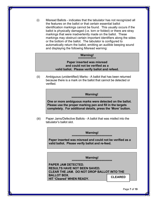(i) Misread Ballots - indicates that the tabulator has not recognized all the features on the ballot or that certain essential ballot identification markings cannot be found. This usually occurs if the ballot is physically damaged (i.e. torn or folded) or there are stray markings that were inadvertently made on the ballot. These markings may obstruct certain important identifiers along the sides or the bottom of the ballot. The tabulator is configured to automatically return the ballot, emitting an audible beeping sound and displaying the following Misread warning:

#### **Warning! \*\*\*\*\*\*\*\*\*\*\*\*\*\*\***

#### **Paper inserted was misread and could not be verified as a valid ballot. Please verify ballot and refeed.**

(ii) Ambiguous (unidentified) Marks - A ballot that has been returned because there is a mark on the ballot that cannot be detected or verified.



(iii) Paper Jams/Defective Ballots - A ballot that was misfed into the tabulator's ballot slot.

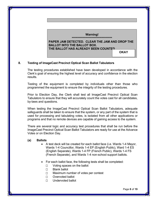

#### **8. Testing of ImageCast Precinct Optical Scan Ballot Tabulators**

The testing procedures established have been developed in accordance with the Clerk's goal of ensuring the highest level of accuracy and confidence in the election results.

Testing of the equipment is completed by individuals other than those who programmed the equipment to ensure the integrity of the testing procedures.

Prior to Election Day, the Clerk shall test all ImageCast Precinct Optical Scan Tabulators to ensure that they will accurately count the votes cast for all candidates, by-laws and questions.

When testing the ImageCast Precinct Optical Scan Ballot Tabulators, adequate safeguards shall be taken to ensure that the system, or any part of the system that is used for processing and tabulating votes, is isolated from all other applications or programs and that no remote devices are capable of gaining access to the system.

There are several logic and accuracy test procedures that shall be run before the ImageCast Precinct Optical Scan Ballot Tabulators are ready for use at the Advance Votes or on Election Day.

#### **(a) Ballots**

- A test deck will be created for each ballot face (i.e. Wards 1-4 Mayor, Wards 1-4 Councillor, Wards 1-4 EP (English Public), Ward 1-4 ES (English Separate), Wards 1-4 FP (French Public), Wards 1-4 FS (French Separate), and Wards 1-4 non-school support ballots.
- For each ballot face, the following tests shall be completed:
	- $\Box$  Voting spaces on the ballot
	- □ Blank ballot
	- $\Box$  Maximum number of votes per contest
	- D Overvoted ballot
	- Undervoted ballot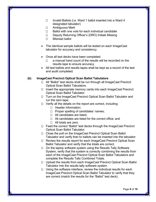- $\Box$  Invalid Ballots (i.e. Ward 1 ballot inserted into a Ward 4 designated tabulator)
- □ Ambiguous Mark
- $\Box$  Ballot with one vote for each individual candidate
- □ Deputy Returning Officer's (DRO) Initials Missing
- □ Misread ballot
- The identical sample ballots will be tested on each ImageCast tabulator for accuracy and consistency.
- Once all test decks have been completed:
	- $\Box$  a manual hand count of the results will be recorded on the results tape to ensure accuracy.
- All test ballots and results tapes shall be kept as a record of the test and audit completed.

#### **(b) ImageCast Precinct Optical Scan Ballot Tabulators**

- □ All "Ballot" test decks shall be run through all ImageCast Precinct Optical Scan Ballot Tabulators.
- $\Box$  Insert the appropriate memory cards into each ImageCast Precinct Optical Scan Ballot Tabulator.
- □ Turn on the ImageCast Precinct Optical Scan Ballot Tabulator and run the zero tape.
- $\Box$  Verify all the details on the report are correct, including:
	- □ Header information;
	- $\Box$  Proper spelling of candidates' names;
	- □ All candidates are listed;
	- $\Box$  All candidates are listed for the correct office: and
	- All totals are zero.
- □ Feed the correct "Ballot" test decks through the ImageCast Precinct Optical Scan Ballot Tabulator.
- □ Close the poll on the ImageCast Precinct Optical Scan Ballot Tabulator and verify that no ballots can be inserted into the tabulator.
- □ Review the results report for each ImageCast Precinct Optical Scan Ballot Tabulator and verify that the totals are correct.
- $\Box$  On the laptop software system using the Results Tally Software System, verify that the system is correctly combining the results from each of the ImageCast Precinct Optical Scan Ballot Tabulators and complete the Results Tally Combined Totals.
- □ Upload the results from each ImageCast Precinct Optical Scan Ballot Tabulator into the results tally software system.
- $\Box$  Using the software interface, review the individual results for each ImageCast Precinct Optical Scan Ballot Tabulator to verify that they are correct (match the results for the "Ballot" test deck).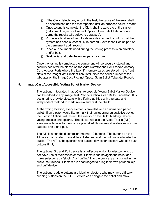- $\Box$  If the Clerk detects any error in the test, the cause of the error shall be ascertained and the test repeated until an errorless count is made.
- $\Box$  Once testing is complete, the Clerk shall re-zero the entire system (individual ImageCast Precinct Optical Scan Ballot Tabulator and purge the results tally software database).
- $\Box$  Produce a final set of zero totals reports in order to confirm that the system has been successfully re-zeroed. Save these files as part of the permanent audit record.
- $\Box$  Place all documents used during the testing process in an envelope and/or box.
- $\Box$  Seal, initial and date the envelope and/or box.

Once the testing is complete, the equipment will be securely stored and security seals will be placed on the Administrator and Poll Worker Memory Card Access Ports where the two (2) memory cards are stored in the front slots of the ImageCast Precinct Tabulator. Note the serial number of the tabulator on the ImageCast Precinct Optical Scan Ballot Tabulator Report.

#### **9. ImageCast Accessible Voting Ballot Marker Device**

The optional integrated ImageCast Accessible Voting Ballot Marker Device can be added to any ImageCast Precinct Optical Scan Ballot Tabulator. It is designed to provide electors with differing abilities with a private and independent method to mark, review and cast their ballot.

At the voting location, every elector is provided with an unmarked paper ballot. If an elector would like to mark their ballot using an assistive device, the Election Official will instruct the elector on the Ballot Marking Device voting process and options. The elector will use the Audio Tactile (ATI) assistive vote selector device or optional additional assistive devices such as paddles or sip-and-puff.

The ATI is a handheld controller that has 10 buttons. The buttons on the ATI are colour coded, have different shapes, and the buttons are labelled in braille. The ATI is the quickest and easiest device for electors who can push buttons firmly.

The optional Sip and Puff device is an effective option for electors who do not have use of their hands or feet. Electors can navigate the ballot and make selections by "sipping" or "puffing" into the device, as instructed in the audio instructions. Electors are encouraged to bring their own personal sip and puff device.

The optional paddle buttons are ideal for electors who may have difficulty pushing buttons on the ATI. Electors can navigate the ballot and make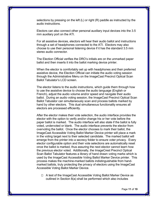selections by pressing on the left (L) or right (R) paddle as instructed by the audio instructions.

Electors can also connect other personal auxiliary input devices into the 3.5 mm auxiliary port on the ATI.

For all assistive devices, electors will hear their audio ballot and instructions through a set of headphones connected to the ATI. Electors may also choose to use their personal listening device if it has the standard 3.5 mm stereo audio connector.

The Election Official verifies the DRO's initials are on the unmarked paper ballot and then inserts it into the ballot marking device printer.

When the elector is comfortably set up with headphones and their preferred assistive device, the Election Official can initiate the audio voting session through the Administrative Menu on the ImageCast Precinct Optical Scan Ballot Tabulator's LCD screen.

The elector listens to the audio instructions, which guide them through how to use the assistive device to choose the audio language (English or French), adjust the audio volume and/or speed and navigate their audio ballot. During an audio voting session, the ImageCast Precinct Optical Scan Ballot Tabulator can simultaneously scan and process ballots marked by hand by other electors. This dual simultaneous functionality ensures all electors are processed efficiently.

After the elector makes their vote selection, the audio interface provides the elector with the option to verify and/or change his or her vote before the paper ballot is marked. The audio interface will also state if the ballot is fully voted, undervoted or blank. The audio interface prevents the elector from overvoting the ballot. Once the elector chooses to mark their ballot, the ImageCast Accessible Voting Ballot Marker Device printer will place a mark in the voting target next to their selected candidate. The marked ballot will emerge from the printer into a secrecy folder to ensure voter privacy. Every elector configurable option and their vote selections are automatically reset once the ballot is marked, thus assuring the next elector cannot learn how the previous elector voted. Additionally, the ImageCrest Precinct Optical Scan Ballot Tabulator features a library of hand drawn voting marks which is used by the ImageCast Accessible Voting Ballot Marker Device printer. This process makes the machine-marked ballots indistinguishable from handmarked ballots, truly protecting the privacy of electors using the ImageCast Accessible Voting Ballot Marker Device.

□ A test of the ImageCast Accessible Voting Ballot Marker Device as outlined in Section 8(a) shall be performed which also includes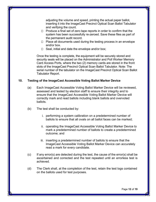adjusting the volume and speed, printing the actual paper ballot, inserting it into the ImageCast Precinct Optical Scan Ballot Tabulator and verifying the count.

- $\Box$  Produce a final set of zero tape reports in order to confirm that the system has been successfully re-zeroed. Save these files as part of the permanent audit record.
- $\Box$  Place all documents used during the testing process in an envelope and/or box.
- $\Box$  Seal, initial and date the envelope and/or box;

Once the testing is complete, the equipment will be securely stored and security seals will be placed on the Administrator and Poll Worker Memory Card Access Ports, where the two (2) memory cards are stored in the front slots of the ImageCast Precinct Optical Scan Ballot Tabulator. Note: The serial number of the tabulator on the ImageCast Precinct Optical Scan Ballot Tabulator Report.

#### **10. Testing of the ImageCast Accessible Voting Ballot Marker Device**

- (a) Each ImageCast Accessible Voting Ballot Marker Device will be reviewed, assessed and tested by election staff to ensure their integrity and to ensure that the ImageCast Accessible Voting Ballot Marker Device will correctly mark and read ballots including blank ballots and overvoted ballots.
- (b) The test shall be conducted by:
	- i. performing a system calibration on a predetermined number of ballots to ensure that all ovals on all ballot faces can be marked;
	- ii. operating the ImageCast Accessible Voting Ballot Marker Device to mark a predetermined number of ballots to create a predetermined outcome; and
	- iii. inserting a predetermined number of ballots to ensure that the ImageCast Accessible Voting Ballot Marker Device can accurately read a mark for every candidate.
- $(c)$  If any error(s) are detected during the test, the cause of the error(s) shall be ascertained and corrected and the test repeated until an errorless test is achieved.
- (d) The Clerk shall, at the completion of the test, retain the test logs contained on the ballots used for test purposes.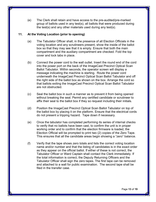(e) The Clerk shall retain and have access to the pre-audited/pre-marked group of ballots used in any test(s), all ballots that were produced during the test(s) and any other materials used during any test(s).

#### **11. At the Voting Location (prior to opening)**

- (a) The Tabulator Officer shall, in the presence of all Election Officials in the voting location and any scrutineers present, show the inside of the ballot box so that they may see that it is empty. Ensure that both the main compartment and the auxiliary compartment are checked. Fold the top cover and lock tabs in place.
- (b) Connect the power cord to the wall outlet. Insert the round end of the cord into the power port on the back of the ImageCast Precinct Optical Scan Ballot Tabulator. Within seconds, the operator screen will display a message indicating the machine is starting. Route the power cord underneath the ImageCast Precinct Optical Scan Ballot Tabulator and off the right side of the ballot box as shown on the box. Arrange the cord so that ballots exiting the ImageCast Precinct Optical Scan Ballot Tabulator are not obstructed.
- (c) Seal the ballot box in such a manner as to prevent it from being opened without breaking the seal. Permit any certified candidate or scrutineer to affix their seal to the ballot box if they so request including their initials.
- (d) Position the ImageCast Precinct Optical Scan Ballot Tabulator on top of the ballot box by placing it on the platform. Ensure that the electrical cords do not present a tripping hazard. Tape down if necessary.
- (e) Once the tabulator has completed performing its series of internal checks to verify that no ballots have been cast, to confirm the unit is in proper working order and to confirm that the election firmware is loaded, the Election Official will be prompted to print two (2) copies of the Zero Tape. This ensures that all the candidate areas begin showing a "zero" balance.
- (f) Verify that the tape shows zero totals and lists the correct voting location name and/or number and that the listing of candidates is in the exact order as they appear on the official ballot. If either of these is not correct, the Tabulator Officer or Ward Captain shall contact the Clerk immediately. If the total information is correct, the Deputy Returning Officers and the Tabulator Officer shall sign the zero tapes. The first tape can be removed and attached to a wall for public examination. The second tape shall be filed in the transfer case.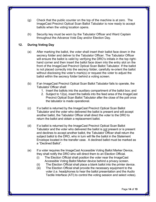- (g) Check that the public counter on the top of the machine is at zero. The ImageCast Precinct Optical Scan Ballot Tabulator is now ready to accept ballots when the voting location opens.
- (h) Security key must be worn by the Tabulator Officer and Ward Captain throughout the Advance Vote Day and/or Election Day.

### **12. During Voting Day**

- (a) After marking the ballot, the voter shall insert their ballot face down in the secrecy folder and deliver to the Tabulator Officer. The Tabulator Officer will ensure the ballot is valid by verifying the DRO's initials in the top righthand corner and then insert the ballot face down into the entry slot on the front of the ImageCast Precinct Optical Scan Ballot Tabulator. If the ballot is not placed correctly into the secrecy folder, carefully re-orient the ballot without disclosing the voter's mark(s) or request the voter to adjust the ballot within the secrecy folder behind a voting screen.
- (b) If an ImageCast Precinct Optical Scan Ballot Tabulator fails to operate, the Tabulator Officer shall:
	- 1. Insert the ballots into the auxiliary compartment of the ballot box; and
	- 2. Subject to 12(a), insert the ballots into the feed area of the ImageCast Precinct Optical Scan Ballot Tabulator after the close of the poll once the tabulator is made operational.
- (c) If a ballot is returned by the ImageCast Precinct Optical Scan Ballot Tabulator and the voter who delivered the ballot is present and will accept another ballot, the Tabulator Officer shall direct the voter to the DRO to return the ballot and obtain a replacement ballot.
- (d) If a ballot is returned by the ImageCast Precinct Optical Scan Ballot Tabulator and the voter who delivered the ballot is not present or is present and declines to accept another ballot, the Tabulator Officer shall return the subject ballot to the DRO, who in turn will file the ballot in the Statement Envelope located in the transfer case. A declined ballot must be marked as a "Declined Ballot".
- (e) If a voter requires the ImageCast Accessible Voting Ballot Marker Device, they shall notify the DRO who will direct them to an Election Official.
	- (i) The Election Official shall position the voter near the ImageCast Accessible Voting Ballot Marker device behind a privacy screen.
	- (ii) The Election Official shall place a blank ballot into the printer device.
	- (iii) The Election Official shall provide the necessary equipment to the voter (i.e. headphones to hear the ballot presentation and the Audio Tactile Interface (ATI) to control the voting session and select votes).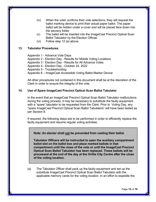- (iv) When the voter confirms their vote selections, they will request the ballot marking device to print their actual paper ballot. The paper ballot will be hidden under a cover and will be placed face down into the secrecy folder
- (v) The ballot will be inserted into the ImageCast Precinct Optical Scan Ballot Tabulator by the Election Official.
- (vi) Follow step 12 (a) above.

#### **13. Tabulator Procedures**

Appendix 1 - Advance Vote Days Appendix 2 - Election Day - Results for Mobile Voting Locations Appendix 3 - Election Day - Results for All Advance Votes Appendix 4 - Election Day - October 24, 2022 Appendix 5 - Troubleshooting Appendix 6 – ImageCast Accessible Voting Ballot Marker Device

All other procedures not contained in this document shall be at the discretion of the Clerk in order to ensure the integrity of the vote.

#### **14. Use of Spare ImageCast Precinct Optical Scan Ballot Tabulator**

In the event that an ImageCast Precinct Optical Scan Ballot Tabulator malfunctions during the voting process, it may be necessary to substitute the faulty equipment with a "spare" tabulator to be requested from the Clerk. Prior to Voting Day, any "spare ImageCast Precinct Optical Scan Ballot Tabulators" will have been tested as per Section 8.

If required, the following steps are to be performed in order to efficiently replace the faulty equipment and resume regular voting activities.

#### **Note: An elector shall not be prevented from casting their ballot.**

**Tabulator Officers will be instructed to open the auxiliary compartment ballot slot on the ballot box and place marked ballots in that compartment until the close of the vote or until the ImageCast Precinct Optical Scan Ballot Tabulator has been replaced. These ballots will be processed at the end of the day at the Orillia City Centre after the close of the voting location.** 

(a) The Tabulator Officer shall pack up the faulty equipment and set up the substitute ImageCast Precinct Optical Scan Ballot Tabulator with the applicable memory cards for the voting location. In an effort to expedite the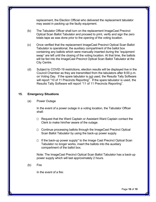replacement, the Election Official who delivered the replacement tabulator may assist in packing up the faulty equipment.

- (b) The Tabulator Officer shall turn on the replacement ImageCast Precinct Optical Scan Ballot Tabulator and proceed to print, verify and sign the zero totals tape as was done prior to the opening of the voting location.
- (c) Once verified that the replacement ImageCast Precinct Optical Scan Ballot Tabulator is operational, the auxiliary compartment of the ballot box containing any ballots which were manually inserted during the "equipment swap" are left until the closing of the voting location. At that time, the ballots will be fed into the ImageCast Precinct Optical Scan Ballot Tabulator at the City Centre.
- (d) Subject to COVID-19 restrictions, election results will be displayed live in the Council Chamber as they are transmitted from the tabulators after 8:00 p.m. on Voting Day. If the spare tabulator is not used, the Results Tally Software will report "10 of 11 Precincts Reporting". If the spare tabulator is used, the Results Tally Software will report "11 of 11 Precincts Reporting".

#### **15. Emergency Situations**

(a) Power Outage

 In the event of a power outage in a voting location, the Tabulator Officer shall:

- $\Box$  Request that the Ward Captain or Assistant Ward Captain contact the Clerk to make him/her aware of the outage.
- $\Box$  Continue processing ballots through the ImageCast Precinct Optical Scan Ballot Tabulator by using the back-up power supply.
- $\Box$  If the back-up power supply\* to the Image Cast Precinct Optical Scan Tabulator no longer works, insert the ballots into the auxiliary compartment of the ballot box.

Note: The ImageCast Precinct Optical Scan Ballot Tabulator has a back-up power supply which will last approximately 2 hours.

(b) Fire

In the event of a fire: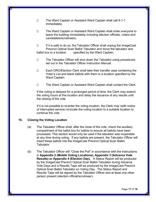- □ The Ward Captain or Assistant Ward Captain shall call 9-1-1 immediately;
- □ The Ward Captain or Assistant Ward Captain shall order everyone to leave the building immediately including election officials, voters and candidates/scrutineers;
- $\Box$  If it is safe to do so, the Tabulator Officer shall unplug the ImageCast Precinct Optical Scan Ballot Tabulator and move the tabulator and ballot box to a location specified by the Ward Captain;
- $\Box$  The Tabulator Officer will shut down the Tabulator using procedures set out in the Tabulator Officer Instruction Manual.
- □ Each DRO/Election Clerk shall take their transfer case containing the Voter's List and blank ballots with them to a location specified by the Ward Captain;
- $\Box$  The Ward Captain or Assistant Ward Captain shall contact the Clerk.

If the voting is delayed for a prolonged period of time, the Clerk may extend the voting hours at this location and delay the issuance of any results until the closing of the vote.

If it is not possible to re-enter the voting location, the Clerk may (with notice of interrupted service) re-locate the voting location to a suitable location to continue the vote.

#### **16. Closing the Voting Location**

- (a) The Tabulator Officer shall, after the close of the vote, check the auxiliary compartment of the ballot box for ballots to ensure all ballots have been processed. This section would only be used if the tabulator was inoperable at any time during voting. If any ballots are present, the Tabulator Officer will insert these ballots into the ImageCast Precinct Optical Scan Ballot Tabulator.
- (b) The Tabulator Officer will "Close the Poll" in accordance with the instructions in **Appendix 2 (Mobile Voting Locations), Appendix 3 (Advance Vote Results) or Appendix 4 (Election Day).** A Status Report will be produced by the ImageCast Precinct Optical Scan Ballot Tabulator during Advance Vote Days and a Results Tape will be produced by the ImageCast Precinct Optical Scan Ballot Tabulator on Voting Day. The Status Report and Results Tape will be signed by the Tabulator Officer and at least one other person present (election official/scrutineer).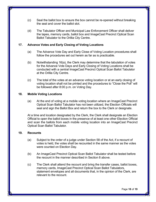- (c) Seal the ballot box to ensure the box cannot be re-opened without breaking the seal and cover the ballot slot.
- (d) The Tabulator Officer and Municipal Law Enforcement Officer shall deliver the tapes, memory cards, ballot box and ImageCast Precinct Optical Scan Ballot Tabulator to the Orillia City Centre.

#### **17. Advance Votes and Early Closing of Voting Locations**

- (a) The Advance Vote Day and Early Close of Voting Location procedures shall follow the procedures set out herein as far as is practicable.
- (b) Notwithstanding 16(a), the Clerk may determine that the tabulation of votes for the Advance Vote Days and Early Closing of Voting Locations shall be conducted with a central ImageCast Precinct Optical Scan Ballot Tabulator at the Orillia City Centre.
- (c) The total of the votes at an advance voting location or at an early closing of voting location shall not be printed and the procedures to "Close the Poll" will be followed after 8:00 p.m. on Voting Day.

#### **18. Mobile Voting Locations**

(a) At the end of voting at a mobile voting location where an ImageCast Precinct Optical Scan Ballot Tabulator has not been utilized, the Election Officials will seal and sign the Ballot Box and return the box to the Clerk or designate.

At a time and location designated by the Clerk, the Clerk shall designate an Election Official to open the ballot boxes in the presence of at least one other Election Official and scan the ballots from each mobile voting location into an ImageCast Precinct Optical Scan Ballot Tabulator.

#### **19. Recounts**

- (a) Subject to the order of a judge under Section 58 of the Act, if a recount of votes is held, the votes shall be recounted in the same manner as the votes were counted on Election Day.
- (b) An ImageCast Precinct Optical Scan Ballot Tabulator shall be tested before the recount in the manner described in Section 8 above.
- (c) The Clerk shall attend the recount and bring the transfer cases, ballot boxes, memory cards, ImageCast Precinct Optical Scan Ballot Tabulators, statement envelopes and all documents that, in the opinion of the Clerk, are relevant to the recount.